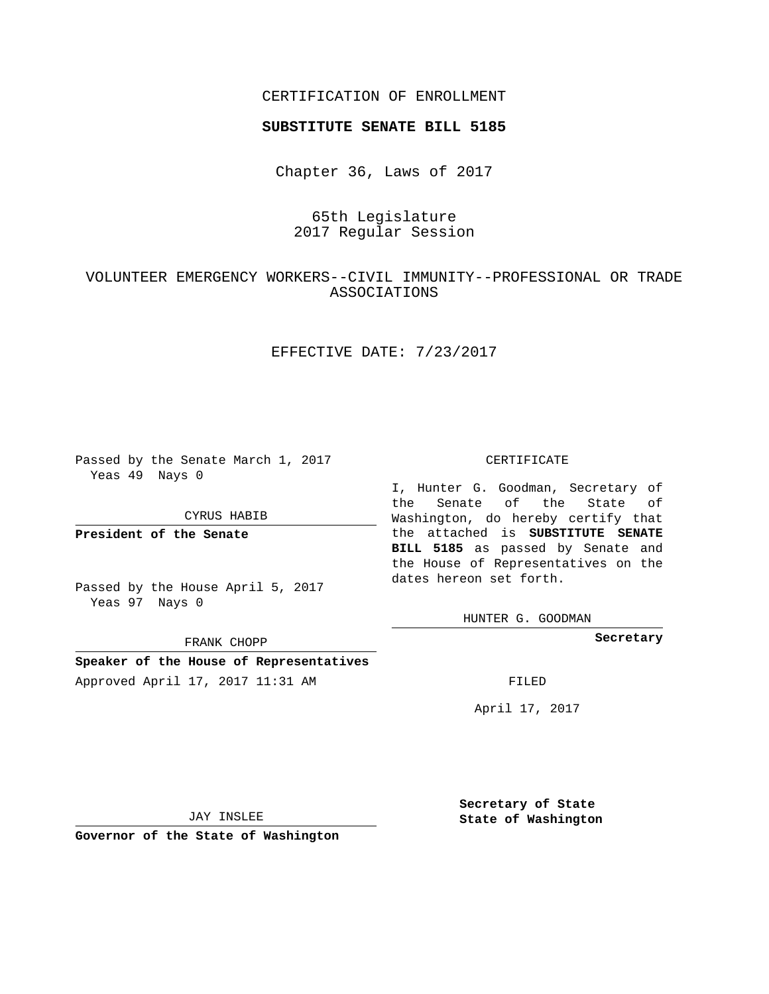## CERTIFICATION OF ENROLLMENT

#### **SUBSTITUTE SENATE BILL 5185**

Chapter 36, Laws of 2017

# 65th Legislature 2017 Regular Session

# VOLUNTEER EMERGENCY WORKERS--CIVIL IMMUNITY--PROFESSIONAL OR TRADE ASSOCIATIONS

## EFFECTIVE DATE: 7/23/2017

Passed by the Senate March 1, 2017 Yeas 49 Nays 0

#### CYRUS HABIB

**President of the Senate**

Passed by the House April 5, 2017 Yeas 97 Nays 0

FRANK CHOPP

# **Speaker of the House of Representatives**

Approved April 17, 2017 11:31 AM FILED

#### CERTIFICATE

I, Hunter G. Goodman, Secretary of the Senate of the State of Washington, do hereby certify that the attached is **SUBSTITUTE SENATE BILL 5185** as passed by Senate and the House of Representatives on the dates hereon set forth.

HUNTER G. GOODMAN

**Secretary**

April 17, 2017

JAY INSLEE

**Governor of the State of Washington**

**Secretary of State State of Washington**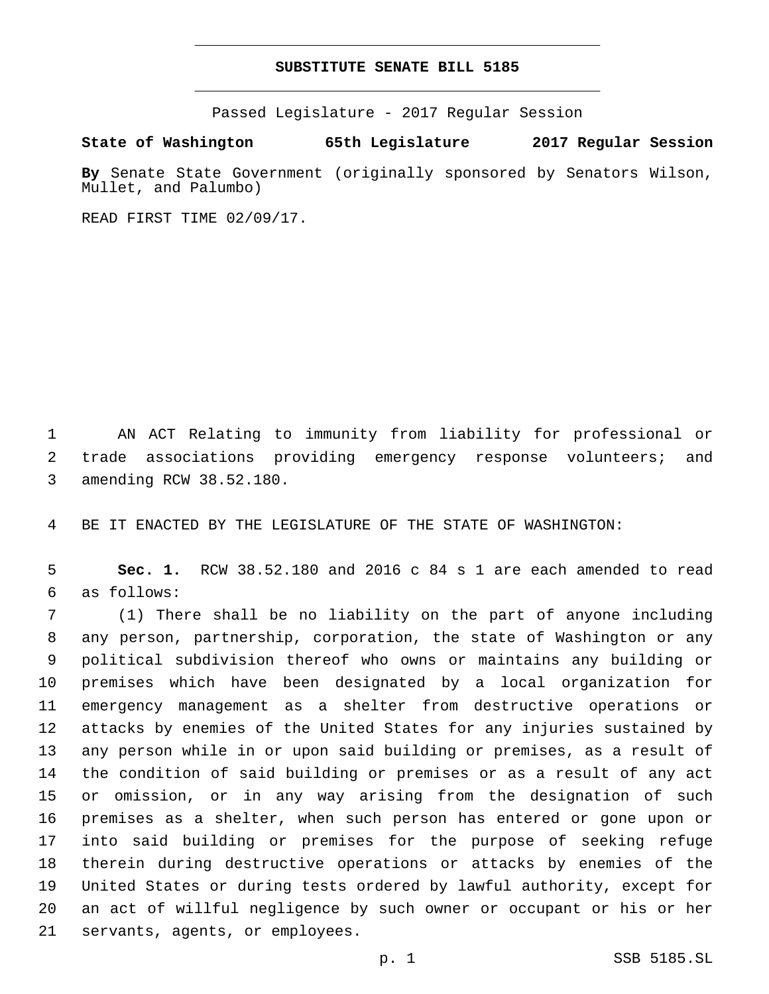### **SUBSTITUTE SENATE BILL 5185**

Passed Legislature - 2017 Regular Session

**State of Washington 65th Legislature 2017 Regular Session**

**By** Senate State Government (originally sponsored by Senators Wilson, Mullet, and Palumbo)

READ FIRST TIME 02/09/17.

 AN ACT Relating to immunity from liability for professional or trade associations providing emergency response volunteers; and 3 amending RCW 38.52.180.

BE IT ENACTED BY THE LEGISLATURE OF THE STATE OF WASHINGTON:

 **Sec. 1.** RCW 38.52.180 and 2016 c 84 s 1 are each amended to read as follows:6

 (1) There shall be no liability on the part of anyone including any person, partnership, corporation, the state of Washington or any political subdivision thereof who owns or maintains any building or premises which have been designated by a local organization for emergency management as a shelter from destructive operations or attacks by enemies of the United States for any injuries sustained by any person while in or upon said building or premises, as a result of the condition of said building or premises or as a result of any act or omission, or in any way arising from the designation of such premises as a shelter, when such person has entered or gone upon or into said building or premises for the purpose of seeking refuge therein during destructive operations or attacks by enemies of the United States or during tests ordered by lawful authority, except for an act of willful negligence by such owner or occupant or his or her 21 servants, agents, or employees.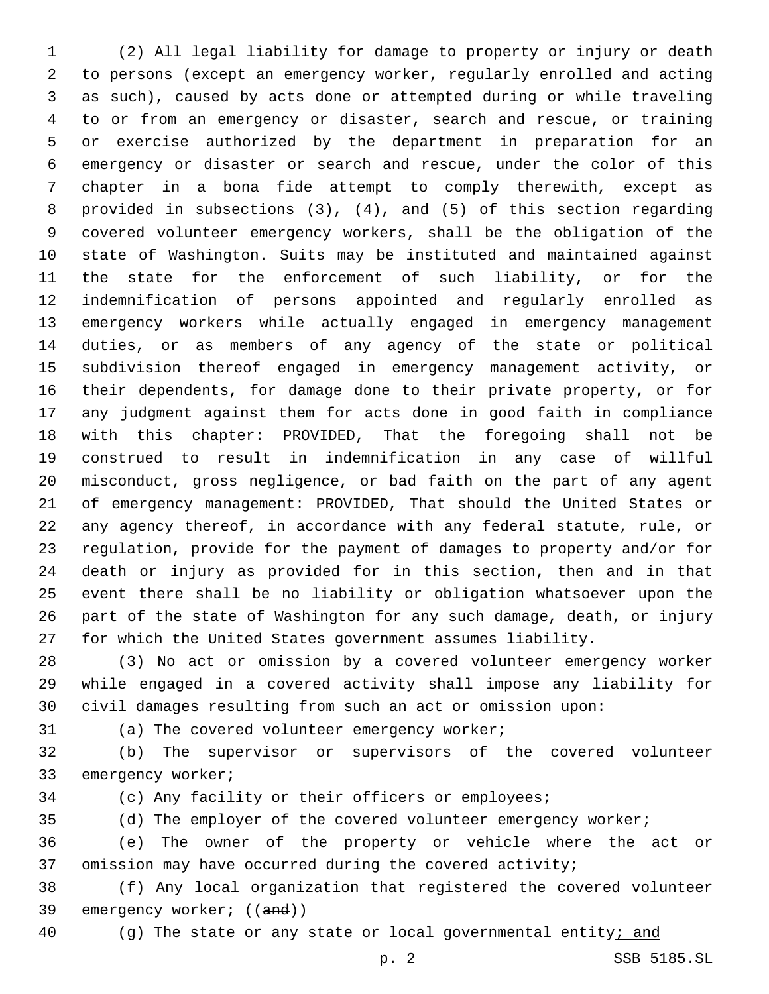(2) All legal liability for damage to property or injury or death to persons (except an emergency worker, regularly enrolled and acting as such), caused by acts done or attempted during or while traveling to or from an emergency or disaster, search and rescue, or training or exercise authorized by the department in preparation for an emergency or disaster or search and rescue, under the color of this chapter in a bona fide attempt to comply therewith, except as provided in subsections (3), (4), and (5) of this section regarding covered volunteer emergency workers, shall be the obligation of the state of Washington. Suits may be instituted and maintained against the state for the enforcement of such liability, or for the indemnification of persons appointed and regularly enrolled as emergency workers while actually engaged in emergency management duties, or as members of any agency of the state or political subdivision thereof engaged in emergency management activity, or their dependents, for damage done to their private property, or for any judgment against them for acts done in good faith in compliance with this chapter: PROVIDED, That the foregoing shall not be construed to result in indemnification in any case of willful misconduct, gross negligence, or bad faith on the part of any agent of emergency management: PROVIDED, That should the United States or any agency thereof, in accordance with any federal statute, rule, or regulation, provide for the payment of damages to property and/or for death or injury as provided for in this section, then and in that event there shall be no liability or obligation whatsoever upon the part of the state of Washington for any such damage, death, or injury for which the United States government assumes liability.

 (3) No act or omission by a covered volunteer emergency worker while engaged in a covered activity shall impose any liability for civil damages resulting from such an act or omission upon:

(a) The covered volunteer emergency worker;

 (b) The supervisor or supervisors of the covered volunteer 33 emergency worker;

(c) Any facility or their officers or employees;

(d) The employer of the covered volunteer emergency worker;

 (e) The owner of the property or vehicle where the act or omission may have occurred during the covered activity;

 (f) Any local organization that registered the covered volunteer 39 emergency worker; ((and))

(g) The state or any state or local governmental entity; and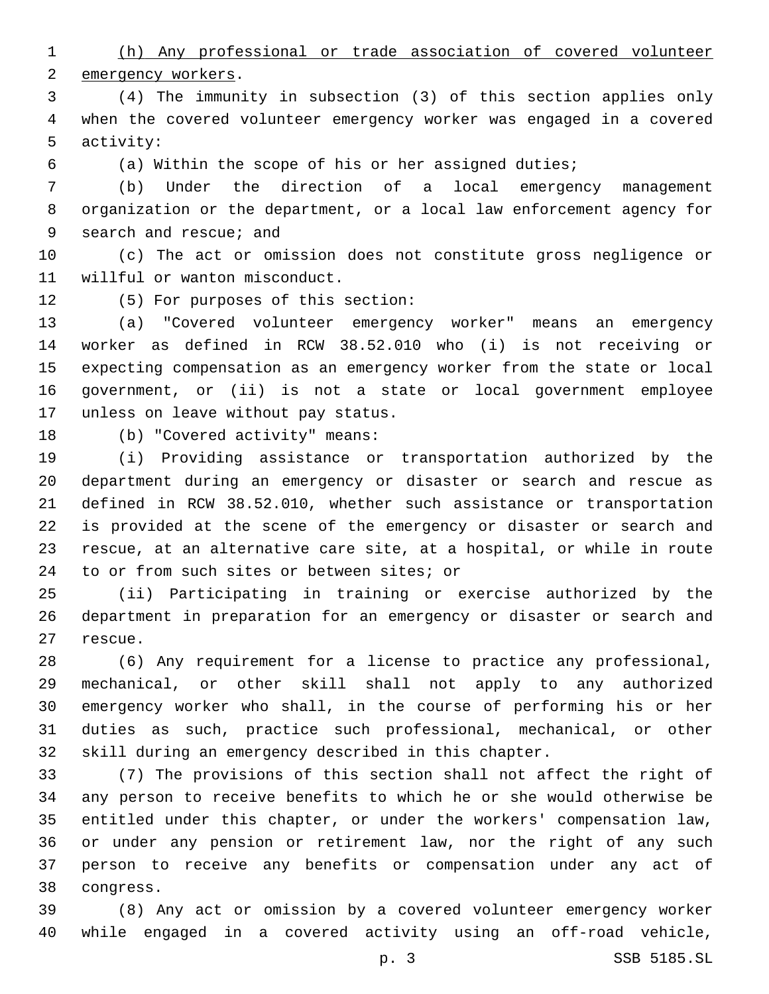(h) Any professional or trade association of covered volunteer 2 emergency workers.

 (4) The immunity in subsection (3) of this section applies only when the covered volunteer emergency worker was engaged in a covered 5 activity:

(a) Within the scope of his or her assigned duties;

 (b) Under the direction of a local emergency management organization or the department, or a local law enforcement agency for 9 search and rescue; and

 (c) The act or omission does not constitute gross negligence or 11 willful or wanton misconduct.

12 (5) For purposes of this section:

 (a) "Covered volunteer emergency worker" means an emergency worker as defined in RCW 38.52.010 who (i) is not receiving or expecting compensation as an emergency worker from the state or local government, or (ii) is not a state or local government employee 17 unless on leave without pay status.

18 (b) "Covered activity" means:

 (i) Providing assistance or transportation authorized by the department during an emergency or disaster or search and rescue as defined in RCW 38.52.010, whether such assistance or transportation is provided at the scene of the emergency or disaster or search and rescue, at an alternative care site, at a hospital, or while in route 24 to or from such sites or between sites; or

 (ii) Participating in training or exercise authorized by the department in preparation for an emergency or disaster or search and 27 rescue.

 (6) Any requirement for a license to practice any professional, mechanical, or other skill shall not apply to any authorized emergency worker who shall, in the course of performing his or her duties as such, practice such professional, mechanical, or other skill during an emergency described in this chapter.

 (7) The provisions of this section shall not affect the right of any person to receive benefits to which he or she would otherwise be entitled under this chapter, or under the workers' compensation law, or under any pension or retirement law, nor the right of any such person to receive any benefits or compensation under any act of congress.38

 (8) Any act or omission by a covered volunteer emergency worker while engaged in a covered activity using an off-road vehicle,